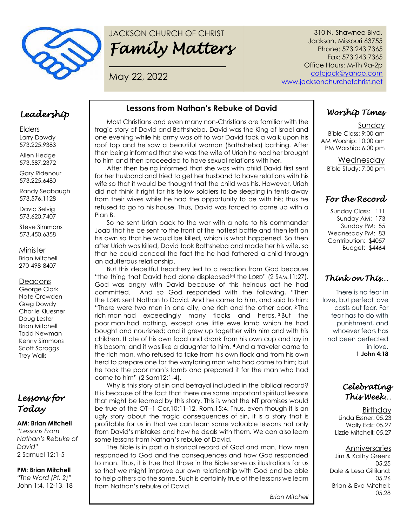

# JACKSON CHURCH OF CHRIST *Family Matters*

**\_\_\_\_\_\_\_\_\_\_\_\_\_\_\_\_\_\_\_\_\_\_\_\_\_\_\_\_\_\_\_\_**

May 22, 2022

310 N. Shawnee Blvd. Jackson, Missouri 63755 Phone: 573.243.7365 Fax: 573.243.7365 Office Hours: M-Th 9a-2p cofcjack@yahoo.com www.jacksonchurchofchrist.net

### *Leadership*

Elders Larry Dowdy 573.225.9383

Allen Hedge 573.587.2372

Gary Ridenour 573.225.6480

Randy Seabaugh 573.576.1128

David Selvig 573.620.7407

Steve Simmons 573.450.6358

Minister

Brian Mitchell 270-498-8407

### **Deacons**

George Clark Nate Crowden Greg Dowdy Charlie Kluesner Doug Lester Brian Mitchell Todd Newman Kenny Simmons Scott Spraggs Trey Walls

# *Lessons for Today*

### **AM: Brian Mitchell**

*"Lessons From Nathan's Rebuke of David"* 2 Samuel 12:1-5

#### **PM: Brian Mitchell**

*"The Word (Pt. 2)"* John 1:4, 12-13, 18

### **Lessons from Nathan's Rebuke of David**

Most Christians and even many non-Christians are familiar with the tragic story of David and Bathsheba. David was the King of Israel and one evening while his army was off to war David took a walk upon his roof top and he saw a beautiful woman (Bathsheba) bathing. After then being informed that she was the wife of Uriah he had her brought to him and then proceeded to have sexual relations with her.

After then being informed that she was with child David first sent for her husband and tried to get her husband to have relations with his wife so that it would be thought that the child was his. However, Uriah did not think it right for his fellow soldiers to be sleeping in tents away from their wives while he had the opportunity to be with his; thus he refused to go to his house. Thus, David was forced to come up with a Plan B.

So he sent Uriah back to the war with a note to his commander Joab that he be sent to the front of the hottest battle and then left on his own so that he would be killed, which is what happened. So then after Uriah was killed, David took Bathsheba and made her his wife, so that he could conceal the fact the he had fathered a child through an adulterous relationship.

But this deceitful treachery led to a reaction from God because "the thing that David had done displeased<sup>[a]</sup> the LORD" (2 SAM.11:27). God was angry with David because of this heinous act he had committed. And so God responded with the following, "Then the LORD sent Nathan to David. And he came to him, and said to him: "There were two men in one city, one rich and the other poor. **<sup>2</sup>** The rich man had exceedingly many flocks and herds. **<sup>3</sup>** But the poor man had nothing, except one little ewe lamb which he had bought and nourished; and it grew up together with him and with his children. It ate of his own food and drank from his own cup and lay in his bosom; and it was like a daughter to him. **<sup>4</sup>** And a traveler came to the rich man, who refused to take from his own flock and from his own herd to prepare one for the wayfaring man who had come to him; but he took the poor man's lamb and prepared it for the man who had come to him" (2 Sam12:1-4).

Why is this story of sin and betrayal included in the biblical record? It is because of the fact that there are some important spiritual lessons that might be learned by this story. This is what the NT promises would be true of the OT--1 Cor.10:11-12, Rom.15:4. Thus, even though it is an ugly story about the tragic consequences of sin, it is a story that is profitable for us in that we can learn some valuable lessons not only from David's mistakes and how he deals with them. We can also learn some lessons from Nathan's rebuke of David.

The Bible is in part a historical record of God and man. How men responded to God and the consequences and how God responded to man. Thus, it is true that those in the Bible serve as illustrations for us so that we might improve our own relationship with God and be able to help others do the same. Such is certainly true of the lessons we learn from Nathan's rebuke of David.

*Brian Mitchell*

# *Worship Times*

Sunday Bible Class: 9:00 am AM Worship: 10:00 am PM Worship: 6:00 pm

> Wednesday Bible Study: 7:00 pm

# *For the Record*

Sunday Class: 111 Sunday AM: 173 Sunday PM: 55 Wednesday PM: 83 Contribution: \$4057 Budget: \$4464

# *Think on This…*

There is no fear in love, but perfect love casts out fear. For fear has to do with punishment, and whoever fears has not been perfected in love. **1 John 4:18**

*Celebrating This Week…* 

**Birthday** Linda Essner: 05.23 Wally Eck: 05.27 Lizzie Mitchell: 05.27

### Anniversaries

Jim & Kathy Green: 05.25 Dale & Lesa Gilliland: 05.26 Brian & Eva Mitchell: 05.28